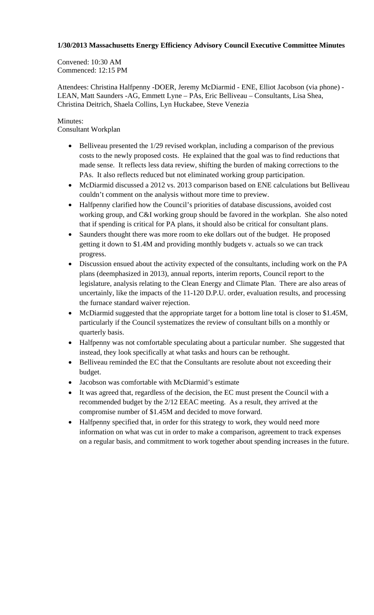## **1/30/2013 Massachusetts Energy Efficiency Advisory Council Executive Committee Minutes**

Convened: 10:30 AM Commenced: 12:15 PM

Attendees: Christina Halfpenny -DOER, Jeremy McDiarmid - ENE, Elliot Jacobson (via phone) - LEAN, Matt Saunders -AG, Emmett Lyne – PAs, Eric Belliveau – Consultants, Lisa Shea, Christina Deitrich, Shaela Collins, Lyn Huckabee, Steve Venezia

## Minutes:

Consultant Workplan

- Belliveau presented the 1/29 revised workplan, including a comparison of the previous costs to the newly proposed costs. He explained that the goal was to find reductions that made sense. It reflects less data review, shifting the burden of making corrections to the PAs. It also reflects reduced but not eliminated working group participation.
- McDiarmid discussed a 2012 vs. 2013 comparison based on ENE calculations but Belliveau couldn't comment on the analysis without more time to preview.
- Halfpenny clarified how the Council's priorities of database discussions, avoided cost working group, and C&I working group should be favored in the workplan. She also noted that if spending is critical for PA plans, it should also be critical for consultant plans.
- Saunders thought there was more room to eke dollars out of the budget. He proposed getting it down to \$1.4M and providing monthly budgets v. actuals so we can track progress.
- Discussion ensued about the activity expected of the consultants, including work on the PA plans (deemphasized in 2013), annual reports, interim reports, Council report to the legislature, analysis relating to the Clean Energy and Climate Plan. There are also areas of uncertainly, like the impacts of the 11-120 D.P.U. order, evaluation results, and processing the furnace standard waiver rejection.
- McDiarmid suggested that the appropriate target for a bottom line total is closer to \$1.45M, particularly if the Council systematizes the review of consultant bills on a monthly or quarterly basis.
- Halfpenny was not comfortable speculating about a particular number. She suggested that instead, they look specifically at what tasks and hours can be rethought.
- Belliveau reminded the EC that the Consultants are resolute about not exceeding their budget.
- Jacobson was comfortable with McDiarmid's estimate
- It was agreed that, regardless of the decision, the EC must present the Council with a recommended budget by the 2/12 EEAC meeting. As a result, they arrived at the compromise number of \$1.45M and decided to move forward.
- Halfpenny specified that, in order for this strategy to work, they would need more information on what was cut in order to make a comparison, agreement to track expenses on a regular basis, and commitment to work together about spending increases in the future.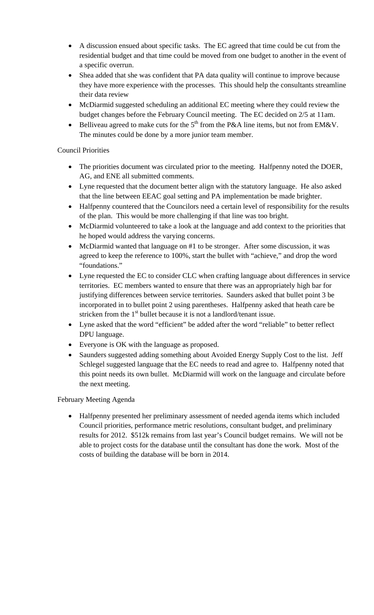- A discussion ensued about specific tasks. The EC agreed that time could be cut from the residential budget and that time could be moved from one budget to another in the event of a specific overrun.
- Shea added that she was confident that PA data quality will continue to improve because they have more experience with the processes. This should help the consultants streamline their data review
- McDiarmid suggested scheduling an additional EC meeting where they could review the budget changes before the February Council meeting. The EC decided on 2/5 at 11am.
- Belliveau agreed to make cuts for the  $5<sup>th</sup>$  from the P&A line items, but not from EM&V. The minutes could be done by a more junior team member.

## Council Priorities

- The priorities document was circulated prior to the meeting. Halfpenny noted the DOER, AG, and ENE all submitted comments.
- Lyne requested that the document better align with the statutory language. He also asked that the line between EEAC goal setting and PA implementation be made brighter.
- Halfpenny countered that the Councilors need a certain level of responsibility for the results of the plan. This would be more challenging if that line was too bright.
- McDiarmid volunteered to take a look at the language and add context to the priorities that he hoped would address the varying concerns.
- McDiarmid wanted that language on #1 to be stronger. After some discussion, it was agreed to keep the reference to 100%, start the bullet with "achieve," and drop the word "foundations."
- Lyne requested the EC to consider CLC when crafting language about differences in service territories. EC members wanted to ensure that there was an appropriately high bar for justifying differences between service territories. Saunders asked that bullet point 3 be incorporated in to bullet point 2 using parentheses. Halfpenny asked that heath care be stricken from the  $1<sup>st</sup>$  bullet because it is not a landlord/tenant issue.
- Lyne asked that the word "efficient" be added after the word "reliable" to better reflect DPU language.
- Everyone is OK with the language as proposed.
- Saunders suggested adding something about Avoided Energy Supply Cost to the list. Jeff Schlegel suggested language that the EC needs to read and agree to. Halfpenny noted that this point needs its own bullet. McDiarmid will work on the language and circulate before the next meeting.

## February Meeting Agenda

• Halfpenny presented her preliminary assessment of needed agenda items which included Council priorities, performance metric resolutions, consultant budget, and preliminary results for 2012. \$512k remains from last year's Council budget remains. We will not be able to project costs for the database until the consultant has done the work. Most of the costs of building the database will be born in 2014.